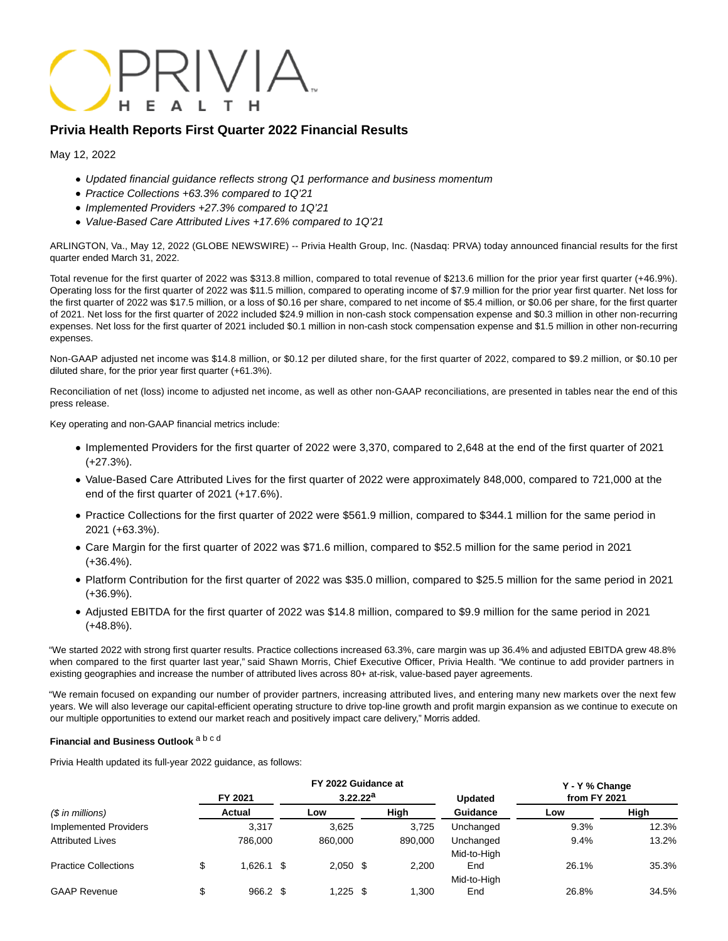

# **Privia Health Reports First Quarter 2022 Financial Results**

May 12, 2022

- Updated financial guidance reflects strong Q1 performance and business momentum
- Practice Collections +63.3% compared to 1Q'21
- Implemented Providers +27.3% compared to 1Q'21
- Value-Based Care Attributed Lives +17.6% compared to 1Q'21

ARLINGTON, Va., May 12, 2022 (GLOBE NEWSWIRE) -- Privia Health Group, Inc. (Nasdaq: PRVA) today announced financial results for the first quarter ended March 31, 2022.

Total revenue for the first quarter of 2022 was \$313.8 million, compared to total revenue of \$213.6 million for the prior year first quarter (+46.9%). Operating loss for the first quarter of 2022 was \$11.5 million, compared to operating income of \$7.9 million for the prior year first quarter. Net loss for the first quarter of 2022 was \$17.5 million, or a loss of \$0.16 per share, compared to net income of \$5.4 million, or \$0.06 per share, for the first quarter of 2021. Net loss for the first quarter of 2022 included \$24.9 million in non-cash stock compensation expense and \$0.3 million in other non-recurring expenses. Net loss for the first quarter of 2021 included \$0.1 million in non-cash stock compensation expense and \$1.5 million in other non-recurring expenses.

Non-GAAP adjusted net income was \$14.8 million, or \$0.12 per diluted share, for the first quarter of 2022, compared to \$9.2 million, or \$0.10 per diluted share, for the prior year first quarter (+61.3%).

Reconciliation of net (loss) income to adjusted net income, as well as other non-GAAP reconciliations, are presented in tables near the end of this press release.

Key operating and non-GAAP financial metrics include:

- Implemented Providers for the first quarter of 2022 were 3,370, compared to 2,648 at the end of the first quarter of 2021 (+27.3%).
- Value-Based Care Attributed Lives for the first quarter of 2022 were approximately 848,000, compared to 721,000 at the end of the first quarter of 2021 (+17.6%).
- Practice Collections for the first quarter of 2022 were \$561.9 million, compared to \$344.1 million for the same period in 2021 (+63.3%).
- Care Margin for the first quarter of 2022 was \$71.6 million, compared to \$52.5 million for the same period in 2021 (+36.4%).
- Platform Contribution for the first quarter of 2022 was \$35.0 million, compared to \$25.5 million for the same period in 2021 (+36.9%).
- Adjusted EBITDA for the first quarter of 2022 was \$14.8 million, compared to \$9.9 million for the same period in 2021 (+48.8%).

"We started 2022 with strong first quarter results. Practice collections increased 63.3%, care margin was up 36.4% and adjusted EBITDA grew 48.8% when compared to the first quarter last year," said Shawn Morris, Chief Executive Officer, Privia Health. "We continue to add provider partners in existing geographies and increase the number of attributed lives across 80+ at-risk, value-based payer agreements.

"We remain focused on expanding our number of provider partners, increasing attributed lives, and entering many new markets over the next few years. We will also leverage our capital-efficient operating structure to drive top-line growth and profit margin expansion as we continue to execute on our multiple opportunities to extend our market reach and positively impact care delivery," Morris added.

### **Financial and Business Outlook** a b c d

Privia Health updated its full-year 2022 guidance, as follows:

|                                   |   |              | FY 2022 Guidance at |                      |      |         | Y - Y % Change     |              |       |
|-----------------------------------|---|--------------|---------------------|----------------------|------|---------|--------------------|--------------|-------|
|                                   |   | FY 2021      |                     | 3.22.22 <sup>a</sup> |      |         | <b>Updated</b>     | from FY 2021 |       |
| $(S \in \mathbb{R})$ in millions) |   | Actual       |                     | Low                  |      | High    | Guidance           | Low          | High  |
| Implemented Providers             |   | 3,317        |                     | 3.625                |      | 3.725   | Unchanged          | 9.3%         | 12.3% |
| <b>Attributed Lives</b>           |   | 786.000      |                     | 860,000              |      | 890,000 | Unchanged          | 9.4%         | 13.2% |
| <b>Practice Collections</b>       | Φ | $1.626.1$ \$ |                     | $2,050$ \$           |      | 2,200   | Mid-to-High<br>End | 26.1%        | 35.3% |
|                                   |   |              |                     |                      |      |         | Mid-to-High        |              |       |
| <b>GAAP Revenue</b>               |   | $966.2$ \$   |                     | .225                 | - \$ | 1.300   | End                | 26.8%        | 34.5% |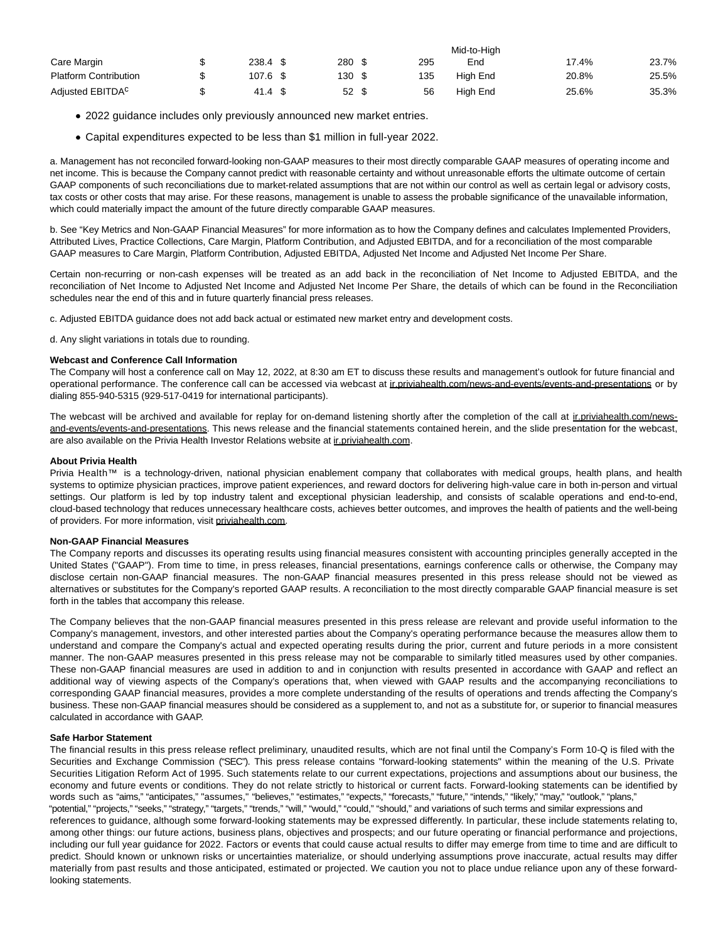|                              |          |        |     | Mid-to-High |       |       |
|------------------------------|----------|--------|-----|-------------|-------|-------|
| Care Margin                  | 238.4 \$ | 280 \$ | 295 | End         | 17.4% | 23.7% |
| <b>Platform Contribution</b> | 107.6 \$ | 130 \$ | 135 | High End    | 20.8% | 25.5% |
| Adjusted EBITDA <sup>C</sup> | 41.4 \$  | 52S    | 56  | High End    | 25.6% | 35.3% |

- 2022 guidance includes only previously announced new market entries.
- Capital expenditures expected to be less than \$1 million in full-year 2022.

a. Management has not reconciled forward-looking non-GAAP measures to their most directly comparable GAAP measures of operating income and net income. This is because the Company cannot predict with reasonable certainty and without unreasonable efforts the ultimate outcome of certain GAAP components of such reconciliations due to market-related assumptions that are not within our control as well as certain legal or advisory costs, tax costs or other costs that may arise. For these reasons, management is unable to assess the probable significance of the unavailable information, which could materially impact the amount of the future directly comparable GAAP measures.

b. See "Key Metrics and Non-GAAP Financial Measures" for more information as to how the Company defines and calculates Implemented Providers, Attributed Lives, Practice Collections, Care Margin, Platform Contribution, and Adjusted EBITDA, and for a reconciliation of the most comparable GAAP measures to Care Margin, Platform Contribution, Adjusted EBITDA, Adjusted Net Income and Adjusted Net Income Per Share.

Certain non-recurring or non-cash expenses will be treated as an add back in the reconciliation of Net Income to Adjusted EBITDA, and the reconciliation of Net Income to Adjusted Net Income and Adjusted Net Income Per Share, the details of which can be found in the Reconciliation schedules near the end of this and in future quarterly financial press releases.

c. Adjusted EBITDA guidance does not add back actual or estimated new market entry and development costs.

d. Any slight variations in totals due to rounding.

#### **Webcast and Conference Call Information**

The Company will host a conference call on May 12, 2022, at 8:30 am ET to discuss these results and management's outlook for future financial and operational performance. The conference call can be accessed via webcast at inpriviahealth.com/news-and-events/events-and-presentations or by dialing 855-940-5315 (929-517-0419 for international participants).

The webcast will be archived and available for replay for on-demand listening shortly after the completion of the call at inpriviahealth.com/newsand-events/events-and-presentations. This news release and the financial statements contained herein, and the slide presentation for the webcast, are also available on the Privia Health Investor Relations website at ir.priviahealth.com.

#### **About Privia Health**

Privia Health<sup>™</sup> is a technology-driven, national physician enablement company that collaborates with medical groups, health plans, and health systems to optimize physician practices, improve patient experiences, and reward doctors for delivering high-value care in both in-person and virtual settings. Our platform is led by top industry talent and exceptional physician leadership, and consists of scalable operations and end-to-end, cloud-based technology that reduces unnecessary healthcare costs, achieves better outcomes, and improves the health of patients and the well-being of providers. For more information, visit priviahealth.com.

#### **Non-GAAP Financial Measures**

The Company reports and discusses its operating results using financial measures consistent with accounting principles generally accepted in the United States ("GAAP"). From time to time, in press releases, financial presentations, earnings conference calls or otherwise, the Company may disclose certain non-GAAP financial measures. The non-GAAP financial measures presented in this press release should not be viewed as alternatives or substitutes for the Company's reported GAAP results. A reconciliation to the most directly comparable GAAP financial measure is set forth in the tables that accompany this release.

The Company believes that the non-GAAP financial measures presented in this press release are relevant and provide useful information to the Company's management, investors, and other interested parties about the Company's operating performance because the measures allow them to understand and compare the Company's actual and expected operating results during the prior, current and future periods in a more consistent manner. The non-GAAP measures presented in this press release may not be comparable to similarly titled measures used by other companies. These non-GAAP financial measures are used in addition to and in conjunction with results presented in accordance with GAAP and reflect an additional way of viewing aspects of the Company's operations that, when viewed with GAAP results and the accompanying reconciliations to corresponding GAAP financial measures, provides a more complete understanding of the results of operations and trends affecting the Company's business. These non-GAAP financial measures should be considered as a supplement to, and not as a substitute for, or superior to financial measures calculated in accordance with GAAP.

### **Safe Harbor Statement**

The financial results in this press release reflect preliminary, unaudited results, which are not final until the Company's Form 10-Q is filed with the Securities and Exchange Commission ("SEC"). This press release contains "forward-looking statements" within the meaning of the U.S. Private Securities Litigation Reform Act of 1995. Such statements relate to our current expectations, projections and assumptions about our business, the economy and future events or conditions. They do not relate strictly to historical or current facts. Forward-looking statements can be identified by words such as "aims," "anticipates," "assumes," "believes," "estimates," "expects," "forecasts," "future," "intends," "likely," "may," "outlook," "plans," "potential," "projects," "seeks," "strategy," "targets," "trends," "will," "would," "could," "should," and variations of such terms and similar expressions and references to guidance, although some forward-looking statements may be expressed differently. In particular, these include statements relating to, among other things: our future actions, business plans, objectives and prospects; and our future operating or financial performance and projections, including our full year guidance for 2022. Factors or events that could cause actual results to differ may emerge from time to time and are difficult to predict. Should known or unknown risks or uncertainties materialize, or should underlying assumptions prove inaccurate, actual results may differ materially from past results and those anticipated, estimated or projected. We caution you not to place undue reliance upon any of these forwardlooking statements.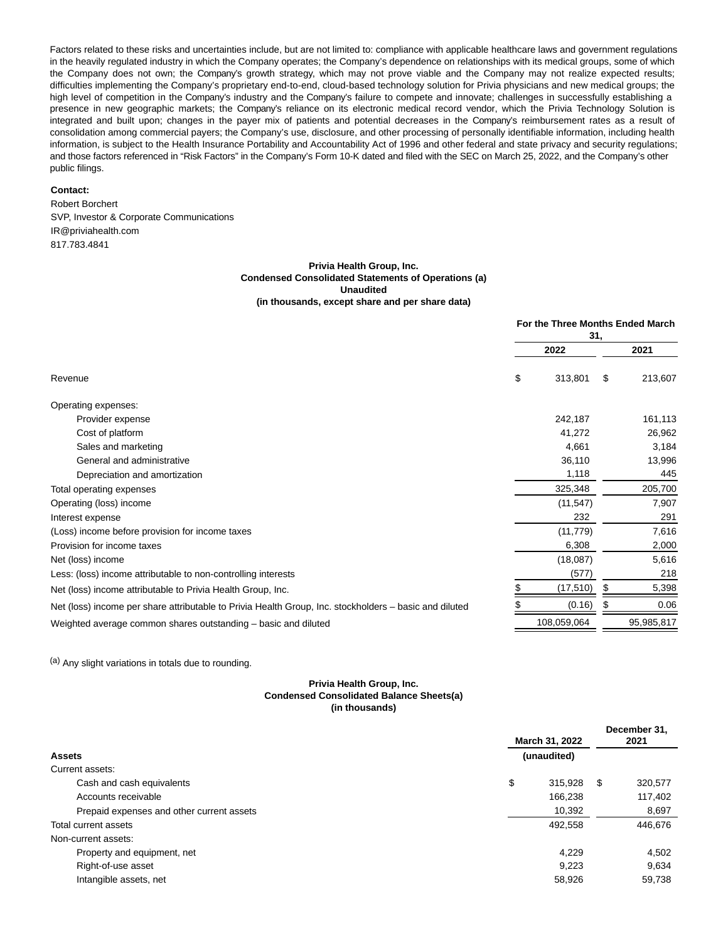Factors related to these risks and uncertainties include, but are not limited to: compliance with applicable healthcare laws and government regulations in the heavily regulated industry in which the Company operates; the Company's dependence on relationships with its medical groups, some of which the Company does not own; the Company's growth strategy, which may not prove viable and the Company may not realize expected results; difficulties implementing the Company's proprietary end-to-end, cloud-based technology solution for Privia physicians and new medical groups; the high level of competition in the Company's industry and the Company's failure to compete and innovate; challenges in successfully establishing a presence in new geographic markets; the Company's reliance on its electronic medical record vendor, which the Privia Technology Solution is integrated and built upon; changes in the payer mix of patients and potential decreases in the Company's reimbursement rates as a result of consolidation among commercial payers; the Company's use, disclosure, and other processing of personally identifiable information, including health information, is subject to the Health Insurance Portability and Accountability Act of 1996 and other federal and state privacy and security regulations; and those factors referenced in "Risk Factors" in the Company's Form 10-K dated and filed with the SEC on March 25, 2022, and the Company's other public filings.

#### **Contact:**

Robert Borchert SVP, Investor & Corporate Communications IR@priviahealth.com 817.783.4841

#### **Privia Health Group, Inc. Condensed Consolidated Statements of Operations (a) Unaudited (in thousands, except share and per share data)**

|                                                                                                        | For the Three Months Ended March<br>31, |             |    |            |
|--------------------------------------------------------------------------------------------------------|-----------------------------------------|-------------|----|------------|
|                                                                                                        |                                         | 2022        |    | 2021       |
| Revenue                                                                                                | \$                                      | 313,801     | \$ | 213,607    |
| Operating expenses:                                                                                    |                                         |             |    |            |
| Provider expense                                                                                       |                                         | 242,187     |    | 161,113    |
| Cost of platform                                                                                       |                                         | 41,272      |    | 26,962     |
| Sales and marketing                                                                                    |                                         | 4,661       |    | 3,184      |
| General and administrative                                                                             |                                         | 36,110      |    | 13,996     |
| Depreciation and amortization                                                                          |                                         | 1,118       |    | 445        |
| Total operating expenses                                                                               |                                         | 325,348     |    | 205,700    |
| Operating (loss) income                                                                                |                                         | (11, 547)   |    | 7,907      |
| Interest expense                                                                                       |                                         | 232         |    | 291        |
| (Loss) income before provision for income taxes                                                        |                                         | (11, 779)   |    | 7,616      |
| Provision for income taxes                                                                             |                                         | 6,308       |    | 2,000      |
| Net (loss) income                                                                                      |                                         | (18,087)    |    | 5,616      |
| Less: (loss) income attributable to non-controlling interests                                          |                                         | (577)       |    | 218        |
| Net (loss) income attributable to Privia Health Group, Inc.                                            |                                         | (17, 510)   | S  | 5,398      |
| Net (loss) income per share attributable to Privia Health Group, Inc. stockholders – basic and diluted |                                         | (0.16)      |    | 0.06       |
| Weighted average common shares outstanding – basic and diluted                                         |                                         | 108,059,064 |    | 95,985,817 |

(a) Any slight variations in totals due to rounding.

#### **Privia Health Group, Inc. Condensed Consolidated Balance Sheets(a) (in thousands)**

|                                           | March 31, 2022 |             |   | December 31.<br>2021 |  |
|-------------------------------------------|----------------|-------------|---|----------------------|--|
| <b>Assets</b>                             |                | (unaudited) |   |                      |  |
| Current assets:                           |                |             |   |                      |  |
| Cash and cash equivalents                 | \$             | 315,928     | S | 320,577              |  |
| Accounts receivable                       |                | 166,238     |   | 117,402              |  |
| Prepaid expenses and other current assets |                | 10,392      |   | 8,697                |  |
| Total current assets                      |                | 492,558     |   | 446,676              |  |
| Non-current assets:                       |                |             |   |                      |  |
| Property and equipment, net               |                | 4.229       |   | 4,502                |  |
| Right-of-use asset                        |                | 9,223       |   | 9,634                |  |
| Intangible assets, net                    |                | 58,926      |   | 59.738               |  |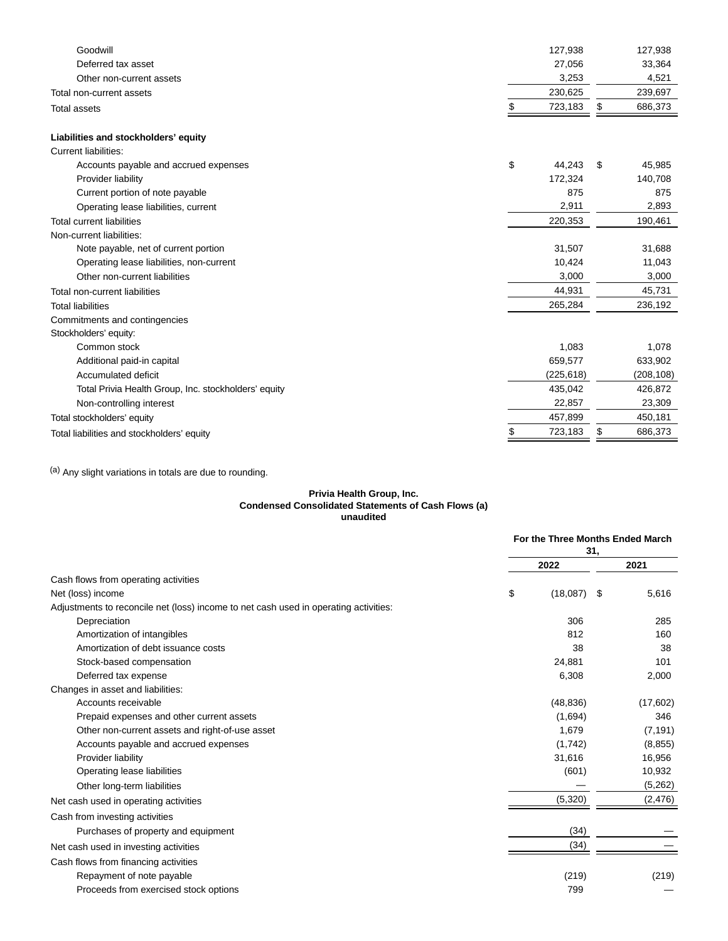| Goodwill                                             |    | 127,938    | 127,938       |
|------------------------------------------------------|----|------------|---------------|
| Deferred tax asset                                   |    | 27,056     | 33,364        |
| Other non-current assets                             |    | 3,253      | 4,521         |
| Total non-current assets                             |    | 230,625    | 239,697       |
| <b>Total assets</b>                                  | S  | 723,183    | \$<br>686,373 |
| Liabilities and stockholders' equity                 |    |            |               |
| Current liabilities:                                 |    |            |               |
| Accounts payable and accrued expenses                | \$ | 44,243     | \$<br>45,985  |
| Provider liability                                   |    | 172,324    | 140,708       |
| Current portion of note payable                      |    | 875        | 875           |
| Operating lease liabilities, current                 |    | 2,911      | 2,893         |
| <b>Total current liabilities</b>                     |    | 220,353    | 190,461       |
| Non-current liabilities:                             |    |            |               |
| Note payable, net of current portion                 |    | 31,507     | 31,688        |
| Operating lease liabilities, non-current             |    | 10.424     | 11,043        |
| Other non-current liabilities                        |    | 3,000      | 3,000         |
| Total non-current liabilities                        |    | 44,931     | 45,731        |
| <b>Total liabilities</b>                             |    | 265,284    | 236,192       |
| Commitments and contingencies                        |    |            |               |
| Stockholders' equity:                                |    |            |               |
| Common stock                                         |    | 1,083      | 1,078         |
| Additional paid-in capital                           |    | 659,577    | 633,902       |
| Accumulated deficit                                  |    | (225, 618) | (208, 108)    |
| Total Privia Health Group, Inc. stockholders' equity |    | 435,042    | 426,872       |
| Non-controlling interest                             |    | 22,857     | 23,309        |
| Total stockholders' equity                           |    | 457,899    | 450,181       |
| Total liabilities and stockholders' equity           | \$ | 723,183    | \$<br>686,373 |
|                                                      |    |            |               |

(a) Any slight variations in totals are due to rounding.

#### **Privia Health Group, Inc. Condensed Consolidated Statements of Cash Flows (a) unaudited**

|                                                                                      |                | For the Three Months Ended March |
|--------------------------------------------------------------------------------------|----------------|----------------------------------|
|                                                                                      | 31.            |                                  |
|                                                                                      | 2022           | 2021                             |
| Cash flows from operating activities                                                 |                |                                  |
| Net (loss) income                                                                    | \$<br>(18,087) | 5,616<br>\$                      |
| Adjustments to reconcile net (loss) income to net cash used in operating activities: |                |                                  |
| Depreciation                                                                         | 306            | 285                              |
| Amortization of intangibles                                                          | 812            | 160                              |
| Amortization of debt issuance costs                                                  | 38             | 38                               |
| Stock-based compensation                                                             | 24,881         | 101                              |
| Deferred tax expense                                                                 | 6,308          | 2,000                            |
| Changes in asset and liabilities:                                                    |                |                                  |
| Accounts receivable                                                                  | (48, 836)      | (17,602)                         |
| Prepaid expenses and other current assets                                            | (1,694)        | 346                              |
| Other non-current assets and right-of-use asset                                      | 1.679          | (7, 191)                         |
| Accounts payable and accrued expenses                                                | (1,742)        | (8, 855)                         |
| Provider liability                                                                   | 31,616         | 16,956                           |
| Operating lease liabilities                                                          | (601)          | 10,932                           |
| Other long-term liabilities                                                          |                | (5,262)                          |
| Net cash used in operating activities                                                | (5,320)        | (2, 476)                         |
| Cash from investing activities                                                       |                |                                  |
| Purchases of property and equipment                                                  | (34)           |                                  |
| Net cash used in investing activities                                                | (34)           |                                  |
| Cash flows from financing activities                                                 |                |                                  |
| Repayment of note payable                                                            | (219)          | (219)                            |
| Proceeds from exercised stock options                                                | 799            |                                  |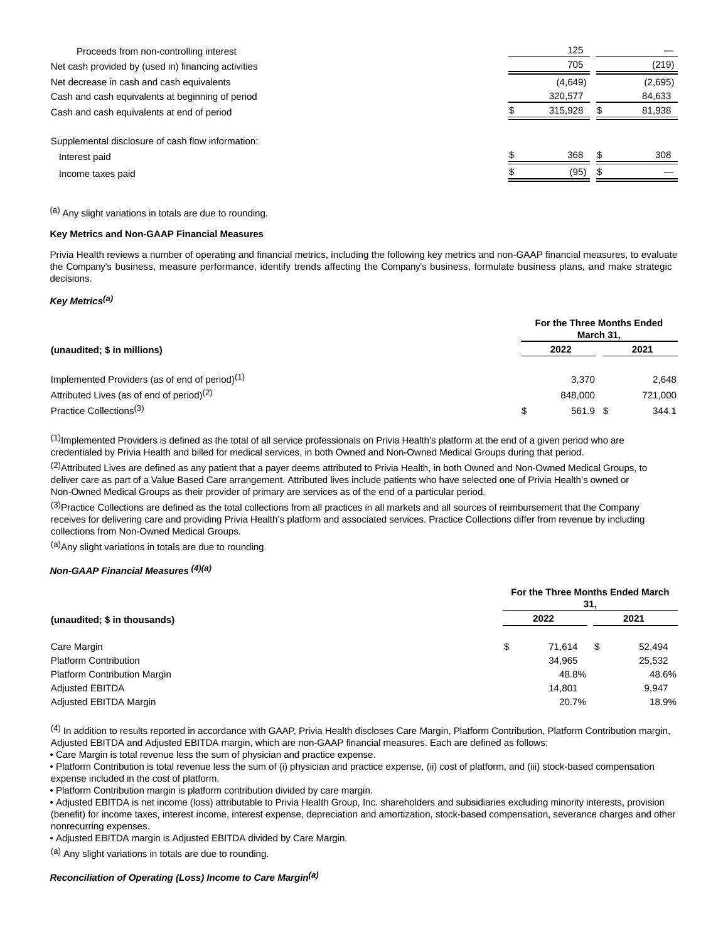| Proceeds from non-controlling interest              | 125     |         |
|-----------------------------------------------------|---------|---------|
| Net cash provided by (used in) financing activities | 705     | (219)   |
| Net decrease in cash and cash equivalents           | (4,649) | (2,695) |
| Cash and cash equivalents at beginning of period    | 320,577 | 84,633  |
| Cash and cash equivalents at end of period          | 315,928 | 81,938  |
| Supplemental disclosure of cash flow information:   |         |         |
| Interest paid                                       | 368     | 308     |
| Income taxes paid                                   | (95)    |         |
|                                                     |         |         |

(a) Any slight variations in totals are due to rounding.

### **Key Metrics and Non-GAAP Financial Measures**

Privia Health reviews a number of operating and financial metrics, including the following key metrics and non-GAAP financial measures, to evaluate the Company's business, measure performance, identify trends affecting the Company's business, formulate business plans, and make strategic decisions.

### **Key Metrics(a)**

|                                                            | For the Three Months Ended<br>March 31. |          |  |         |
|------------------------------------------------------------|-----------------------------------------|----------|--|---------|
| (unaudited; \$ in millions)                                |                                         | 2022     |  | 2021    |
| Implemented Providers (as of end of period) <sup>(1)</sup> |                                         | 3.370    |  | 2,648   |
| Attributed Lives (as of end of period) <sup>(2)</sup>      |                                         | 848,000  |  | 721,000 |
| Practice Collections <sup>(3)</sup>                        | \$                                      | 561.9 \$ |  | 344.1   |

 $<sup>(1)</sup>$ Implemented Providers is defined as the total of all service professionals on Privia Health's platform at the end of a given period who are</sup> credentialed by Privia Health and billed for medical services, in both Owned and Non-Owned Medical Groups during that period.

<sup>(2)</sup>Attributed Lives are defined as any patient that a payer deems attributed to Privia Health, in both Owned and Non-Owned Medical Groups, to deliver care as part of a Value Based Care arrangement. Attributed lives include patients who have selected one of Privia Health's owned or Non-Owned Medical Groups as their provider of primary are services as of the end of a particular period.

 $(3)$ Practice Collections are defined as the total collections from all practices in all markets and all sources of reimbursement that the Company receives for delivering care and providing Privia Health's platform and associated services. Practice Collections differ from revenue by including collections from Non-Owned Medical Groups.

(a) Any slight variations in totals are due to rounding.

#### **Non-GAAP Financial Measures (4)(a)**

|                                     | For the Three Months Ended March<br>31. |        |             |  |  |
|-------------------------------------|-----------------------------------------|--------|-------------|--|--|
| (unaudited; \$ in thousands)        | 2022                                    |        | 2021        |  |  |
| Care Margin                         | \$                                      | 71.614 | 52,494<br>S |  |  |
| <b>Platform Contribution</b>        |                                         | 34,965 | 25,532      |  |  |
| <b>Platform Contribution Margin</b> |                                         | 48.8%  | 48.6%       |  |  |
| <b>Adjusted EBITDA</b>              |                                         | 14.801 | 9.947       |  |  |
| Adjusted EBITDA Margin              |                                         | 20.7%  | 18.9%       |  |  |

 $<sup>(4)</sup>$  In addition to results reported in accordance with GAAP, Privia Health discloses Care Margin, Platform Contribution, Platform Contribution margin,</sup> Adjusted EBITDA and Adjusted EBITDA margin, which are non-GAAP financial measures. Each are defined as follows:

• Care Margin is total revenue less the sum of physician and practice expense.

• Platform Contribution is total revenue less the sum of (i) physician and practice expense, (ii) cost of platform, and (iii) stock-based compensation expense included in the cost of platform.

• Platform Contribution margin is platform contribution divided by care margin.

• Adjusted EBITDA is net income (loss) attributable to Privia Health Group, Inc. shareholders and subsidiaries excluding minority interests, provision (benefit) for income taxes, interest income, interest expense, depreciation and amortization, stock-based compensation, severance charges and other nonrecurring expenses.

• Adjusted EBITDA margin is Adjusted EBITDA divided by Care Margin.

(a) Any slight variations in totals are due to rounding.

#### **Reconciliation of Operating (Loss) Income to Care Margin(a)**